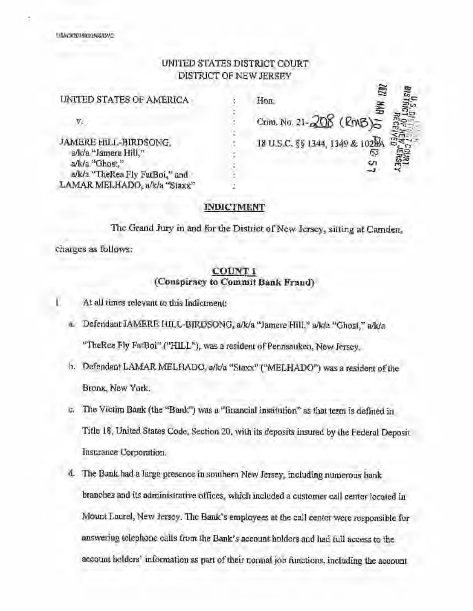# UNITED STATES DISTRICT COURT DISTRICT OF NEW JERSEY

نجرا

|                                               |                                 | ZR. |    |
|-----------------------------------------------|---------------------------------|-----|----|
| UNITED STATES OF AMERICA                      | Hon.                            |     |    |
| Vē                                            | Crim, No. 21-208 (RMB)          |     |    |
| JAMERE HILL-BIRDSONG.<br>a/k/a "Jamere Hill," | 18 U.S.C. §§ 1344, 1349 & 1028A |     |    |
| a/k/a "TheRea Fly FatBoi," and                |                                 |     | ã3 |
| LAMAR MELHADO, a/k/a "Staxx"                  |                                 |     |    |
| a/k/a "Ghost."                                |                                 |     |    |

### **INDICTMENT**

The Grand Jury in and for the District of New Jersey, sitting at Camden, charges as follows:

## **COUNTI (Conspiracy to Commit Bank Fraud)**

- At all times relevant to this Indictment:
	- a. Defendant JAMERE HILL-BIRDSONG, a/k/a "Jamere Hill," a/k/a "Ghost," a/k/a "TheRea Fly FatBoi" ("HILL"), was a resident of Pennsauken, New Jersey.
	- b. Defendant LAMAR MELHADO, a/k/a "Staxx" ("MELHADO") was a resident of the Bronx, New York.
	- c. The Victim Bnnk (the "Bank") was n "financial institution" as that term is defined in Title 18, United States Code, Section 20, with its deposits insured by lhe Federal Deposit Insurance Corporation.
	- d. The Bank had a large presence in southern New Jersey, including nwnerous bank branches and its administrative offices, which included a customer call center located in Mount Laurel, New Jersey. The Bank's employees **at** tb.e call center were responsible for answering telephone calls from the Bank's account holders and had full access to the account holders' information as part of their normal job functions, including the account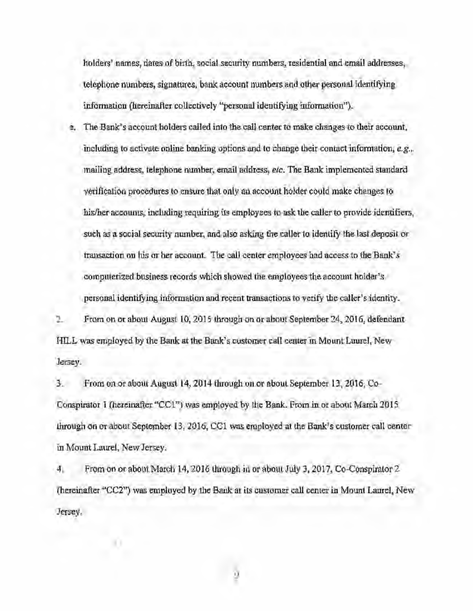holders' names, dates of birth, social security nwnbers, residential and email addresses, telephone numbers, signatures, bank account numbers and other personal identifying infonnation (hereinafter collectively "personal identifying information").

e. The Bank's account holders called into the call center to make changes to their account, including to activate online banking options and to change their contact infonnation, *e.g.,*  mailing address, telephone number, email address, *etc.* The Bank implemented standard verification procedures to ensure that only an account holder could make changes to his/her accounts, including requiring its employees to ask the caller to provide identifiers, such as a social security number, and also asking the caller to identify the last deposit or transaction on his or her account. The call center employees had access to the Bank's computerized business records which showed the employees the account holder's personal identifying information and recent transactions to verify the caller's identity.

2. From on or about August 10, 2015 through on or about September 24, 2016, defendant HILL was employed by the Bank at the Bank's customer call center in Mount Laurel, New Jersey.

3. From on or about August 14, 2014 through on or about September 13, 2016, Co-Conspirator 1 (hereinafter "CCI") was employed by the Bank. From in or about March 2015 through on or about September 13, 2016, CCI was employed at the Bank's customer call center in Mount Laurel, New Jersey.

4. From on or about March 14, 2016 through in or about July 3, 2017, Co-Conspirator 2 (hereinafter "CC2") was employed by the Bank at its customer call center in Mount Laurel, New Jersey.

α.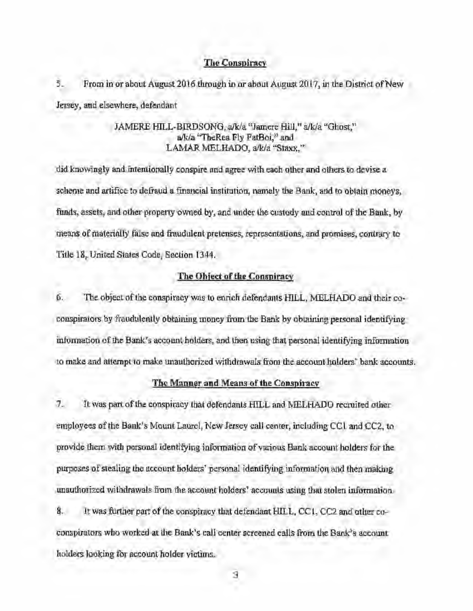#### The Conspiracy

5. From in or about August 2016 through in or about August 2017, in the District of New Jersey, and elsewhere, defendant

## JAMERE HILL-BIRDSONG, a/k/a "Jamere Hill," a/k/a "Ghost," a/k/a "TheRea Fly FatBoi,'' and LAMAR MELHADO, a/k/a "Staxx."

did knowingly and intentionally conspire nnd ngree with each other and others to devise <sup>a</sup> scheme nnd artifice to defraud a financial institution, namely the Bank, and to obtain moneys, funds, assets, and other property owned by, and under the custody and control of the Bank, by means of materially false and fraudulent pretenses, representations, and promises, contrary to Title 18, United States Code, Section 1344.

### The Object of the Conspiracy

6. The object of the conspiracy was to enrich defendants **HILL,** MELHADO and their coconspirators by fraudulently obtaining money from the Bank by obtaining personal identifying information of the Bank's accowit holders, and then using that personal identifying information to make and attempt to make unauthorized withdrawals from the account holders' bank accounts.

### The Manner and Means of the Conspiracv

7. It was part of the conspiracy that defendants HILL and MELHADO recruited other employees of the Bank's Mount Laurel, New Jersey call center, including CCI and CC2, to provide them with personal identifying information of various Bank accowit holders for the purposes of stealing the account holders' personal identifying information and then making unauthorized withdrawals from the account holders' accounts using that stolen information. 8. It was further part of the conspiracy that defendant HILL, CC I, CC2 and other coconspirators who worked at the Bank's call center screened calls from the Bank's account holders looking for account holder victims.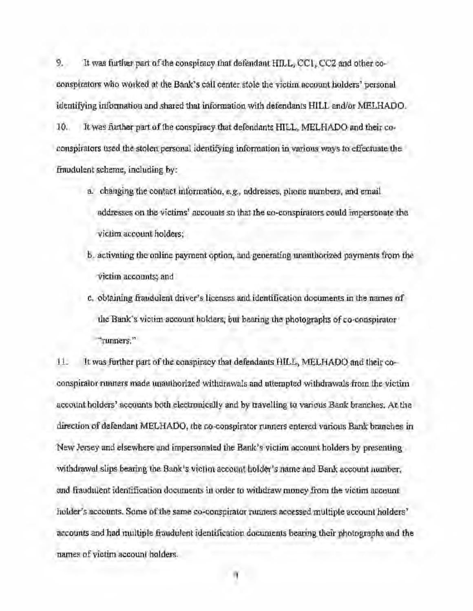9. It was further part of the conspiracy that defendant HILL, CC1, CC2 and other coconspirators who worked at the Bank's call center stole the victim nccount holders' personal identifying information and shared that information with defendants HILL and/or MELHAOO. 10. It was further part of the conspiracy that defendants HILL, MELHADO and their coconspirators used the stolen personal identifying information in various ways to effectuate the fraudulent scheme, including by:

- a. changing the contact information, *e.g.,* addresses, phone nwnbers, and email addresses on the victims' accounts so that the co-conspirators could impersonate the victim account holders;
- b. activating the online payment option, and generating unauthorized payments from the victim accounts; and
- c. obtaining fraudulent driver's licenses and identification documents in the names of the Bank's victim account holders, but bearing the photographs of co-conspirator "runners."

11. It was further part of the conspiracy that defendants HILL, MELHADO and their coconspirator runners made unauthorized withdrawals and nttempted withdrawals from the victim account holders' accounts both electronically and by travelling to various Bank branches. At the direction of defendant MELHADO, the co~onspirator runners entered various Bank branches in New Jersey and elsewhere and impersonated the Bank's victim account holders by presenting withdrawal slips bearing the Bank's victim account holder's name and Bank account number, and fraudulent identification documents in order to withdraw money from the victim account holder's accounts. Some of the same co-conspirator nmners accessed multiple account holders' accounts and had multiple fraudulent identification documents bearing their photographs and the names of victim account holders.

4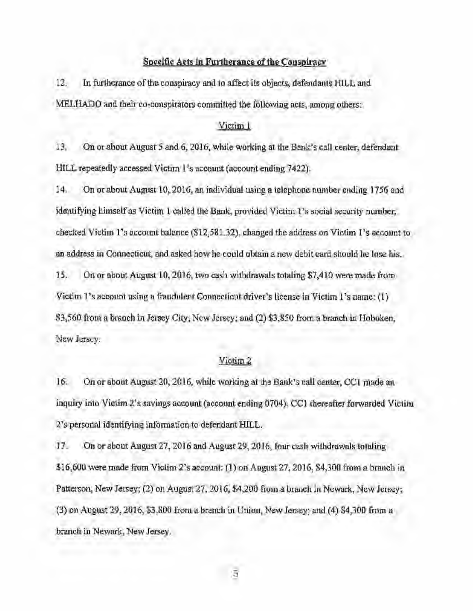### Specific Acts in Furtherance of the Conspiracy

12. In furtherance of the conspiracy and to affect its objects, defendants HILL and MELHADO and their co-conspirators committed the following acts, among others:

#### Victim l

13. On or about August 5 and 6, 2016, while working at the Bank's call center, defendant HILL repeatedly accessed Victim l's account (account ending 7422).

14. On or about August 10, 2016, an individual using a telephone nwnber ending 1756 and identifying himself as Victim I called the Bank, provided Victim 1 's social security nwnber, checked Victim **1** 's account balance (\$12,581.32), changed the address on Victim **1** 's account to an address in Connecticut, and asked how he could obtain a new debit card should he lose his.

15. On or about August 10, 2016, two cash withdrawals totaling \$7,410 were made from Victim **1** 's account using a fraudulent Connecticut driver's license in Victim l's name: (I) \$3,560 from a branch in Jersey City, New Jersey; nnd (2) \$3,850 from a branch in Hoboken, New Jersey.

## Victim 2

16. On or about August 20, 2016, while working at the Bank's call center, CCI made an inquiry into Victim 2's savings account (account ending 0704). CCI thereafter forwarded Victim 2's personal identifying information to defendant HILL.

17. On or about August 27, 2016 and August 29, 2016, four cash withdrawals totaling \$16,600 were made from Victim 2's account: (1) on August 27, 2016, \$4,300 from a branch in Patterson, New Jersey; (2) on August 27, 2016, \$4,200 from a branch in Newark, New Jersey; (3) on August 29, 2016, \$3,800 from a branch in Union, New Jersey; and (4) \$4,300 from a branch in Newark, New Jersey.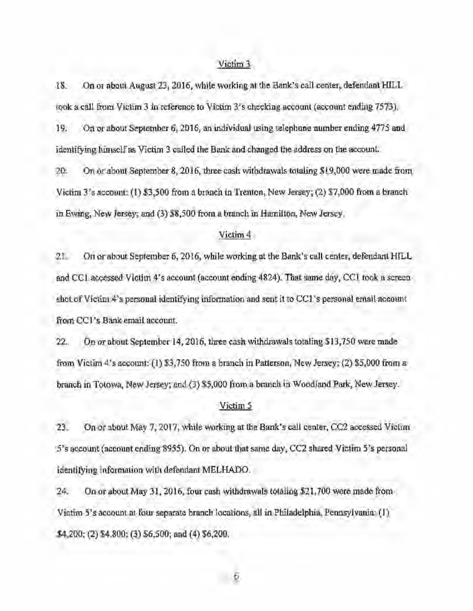### Victim3

18. On or about August 23, 2016, while working at the Bank's call center, defendant HILL took a call from Victim 3 in reference to Victim 3's checking account (account ending 7573). 19. On or about September 6, 2016, an individual using telephone nwnber ending 4775 and

identifying himself as Victim 3 called the Bank and changed the address on the account.

20. On or about September 8, 2016, three cash withdrawals totaling \$19,000 were made from Victim 3's account: (I) \$3,500 from a branch in Trenton, New Jersey; (2) \$7,000 from a branch in Ewing, New Jersey; and (3) \$8,500 from a branch in Hamilton, New Jersey,

### Victim 4

21. On or about September 6, 2016, while working at the Bank's call center, defendant HILL and CCI accessed Victim 4's account (account ending 4824). That same day, CCl took a screen shot of Victim 4's personal identifying information and sent it to CCl 's personal email account from CCI 's Bank email account.

22. On or about September 14, 2016, three cash withdrawals totaling \$13,750 were made from Victim 4's account: (I) \$3,750 from a branch in Patterson, New Jersey; (2) \$5,000 from a branch in Totowa, New Jersey; and (3) \$5,000 from a branch in Woodland Park, New Jersey.

#### Victim *5*

23. On or about May 7, 2017, while working at the Bank's call center,  $CC2$  accessed Victim S's accowlt (account ending 8955). On or about that same day, CC2 shared Victim 5's personal identifying infonnation with defendant MELHADO.

24. On or about May 31, 2016, four cash withdrawals totaling \$21,700 were made from Victim 5's account at four separate branch locations, all in Philadelphia, Pennsylvania: (I) \$4,200; (2) \$4,800; (3) \$6,500; and (4) \$6,200.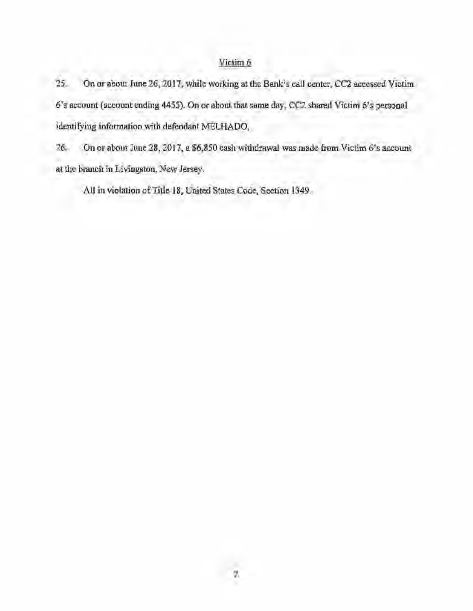# Victim 6

25. On or about June 26, 2017, while working at the Bank's call center, CC2 accessed Victim 6's account (account ending 4455). On or about that same day, CC2 shared Victim 6's personal identifying information with defendant MELHADO.

26. On or about June 28, 2017, **a** \$6,850 cash withdrawal was made **from** Victim 6's account **at** the branch in Livingston, New Jersey.

**All in** violation of Title 18, United States Code, Section 1349.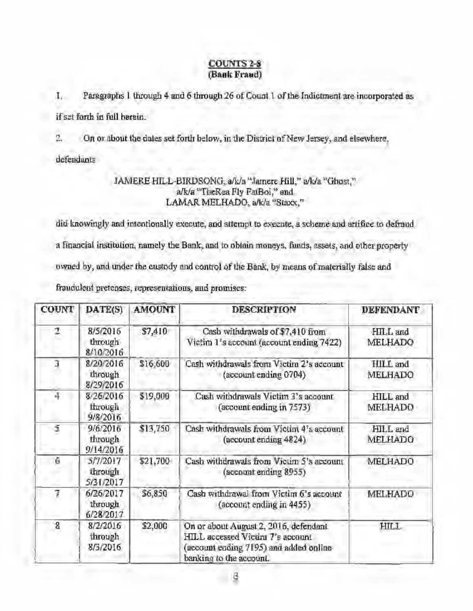## **COUNTS2-8 (Bank Fraud)**

**1.** Paragraphs I through 4 and 6 through 26 of Count l of the Indictment are incorporated as **if** set forth in full herein.

2. On or about the dates set forth below, in the District of New Jersey, and elsewhere,

defendants

# JAMERE HILL-BIRDSONG, a/k/a "Jamere Hill," a/k/a "Ghost," a/k/a "TheRea Fly FatBoi," and LAMAR MELHADO, a/k/a "Staxx,"

did knowingly and intentionally execute, and attempt to execute, a scheme and artifice to defraud a financial institution, namely the Bank, and to obtain moneys, funds, assets, and other property owned by, and under the custody and control of the Bank, by means of materially false and fraudulent pretenses, representations, and promises:

| <b>COUNT</b> | DATE(S)                           | <b>AMOUNT</b> | <b>DESCRIPTION</b>                                                                                                                             | <b>DEFENDANT</b>    |
|--------------|-----------------------------------|---------------|------------------------------------------------------------------------------------------------------------------------------------------------|---------------------|
| 2            | 8/5/2016<br>through<br>8/10/2016  | \$7,410       | Cash withdrawals of \$7,410 from<br>Victim 1's account (account ending 7422)                                                                   | HILL and<br>MELHADO |
| Ĵ            | 8/20/2016<br>through<br>8/29/2016 | \$16,600      | Cash withdrawals from Victim 2's account<br>(account ending 0704)                                                                              | HILL and<br>MELHADO |
| 4            | 8/26/2016<br>through<br>9/8/2016  | \$19,000      | Cash withdrawals Vietim 3's account<br>(account ending in 7573)                                                                                | HILL and<br>MELHADO |
| હેં          | 9/6/2016<br>through<br>9/14/2016  | \$13,750      | Cash withdrawals from Victim 4's account<br>(account ending 4824)                                                                              | HILL and<br>MELHADO |
| Ğ            | 5/7/2017<br>through<br>5/31/2017  | \$21,700      | Cash withdrawals from Victim 5's account.<br>(account ending 8955)                                                                             | <b>MELHADO</b>      |
| 7            | 6/26/2017<br>through<br>6/28/2017 | \$6,850       | Cash withdrawal from Victim 6's account<br>(account ending in 4455)                                                                            | MELHADO             |
| -8           | 8/2/2016<br>through<br>8/3/2016   | \$2,000       | On or about August 2, 2016, defendant<br>HILL accessed Victim 7's account<br>(account ending 7195) and added online<br>banking to the account. | HILL.               |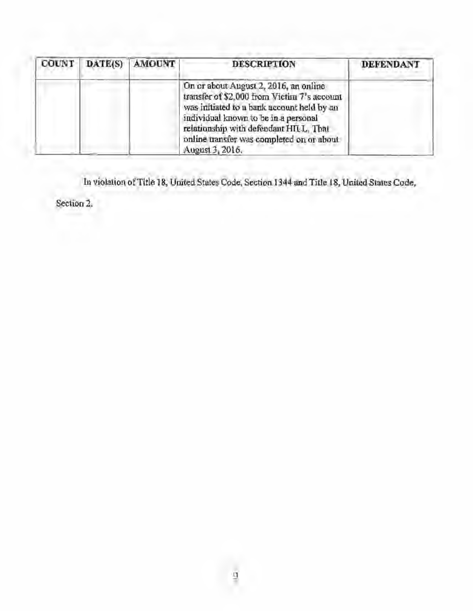| COUNT | DATE(S) AMOUNT | <b>DESCRIPTION</b>                                                                                                                                                                                                                                                                    | <b>DEFENDANT</b> |
|-------|----------------|---------------------------------------------------------------------------------------------------------------------------------------------------------------------------------------------------------------------------------------------------------------------------------------|------------------|
|       |                | On or about August 2, 2016, an online<br>transfer of \$2,000 from Victim 7's account<br>was initiated to a bank account held by an<br>individual known to be in a personal<br>relationship with defendant HILL, That<br>online transfer was completed on or about.<br>August 3, 2016. |                  |

In violation of Title 18, United States Code, Section 1344 and Title 18, United States Code,

Section 2.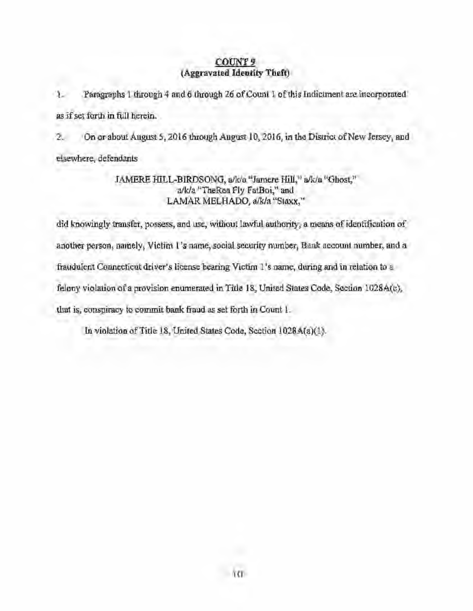## **COUNT9 (Aggravated Identity Theft)**

1. Paragraphs 1 through 4 and 6 through 26 of Count 1 of this Indictment are incorporated as if set forth in full herein.

2. On or about August *5,* 2016 through August 10, 2016, in the District of New Jersey, and elsewhere, defendants

# JAMERE HILL-BIRDSONG, a/k/a "Jamere Hill," a/k/a "Ghost," a/k/a "TheRea Fly FatBoi," and LAMAR MELHADO, a/k/a "Staxx,"

did knowingly transfer, possess, and use, without lawful authority, a means of identification of another person, namely, Victim l's name, social security number, Bank account number, and a fraudulent Connecticut driver's license bearing Victim l's name, during and in relation to a felony violation of a provision enumerated in Title 18, United States Code, Section 1028A(c), tliat is, conspiracy to commit bank fraud as set forth in Count I.

In violation of Title 18, United States Code, Section 1028A(a)(1).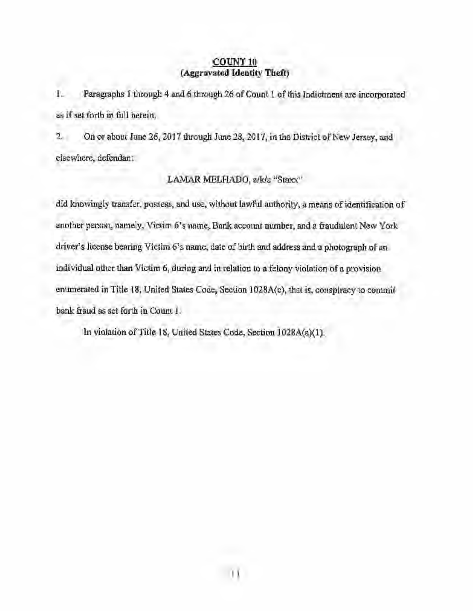## **COUNTlO (Aggravated Identity Theft)**

**1.** Paragraphs 1 through 4 and 6 through 26 of Count 1 of this Indictment are incorporated as **if** set forth in full herein.

2. On or about June 26, 2017 through June 28, 2017, in the District of New Jersey, and elsewhere, defendant

# LAMAR MELHADO, a/k/a "Staxx"

did knowingly transfer, possess, and use, without lawful authority, a means of identification of another person, namely, Victim 6's name, Bonk account number, and a fraudulent New York driver's license bearing Victim 6's name, date of birth and address and a photograph of an individual other than Victim 6, during and in relation to a felony violation of a provision enumerated in Title 18, United States Code, Section 1028A(c), that is, conspiracy to commit bank fraud as set forth in Count I.

In violation of Title 18, United States Code, Section 1028A(a)(l).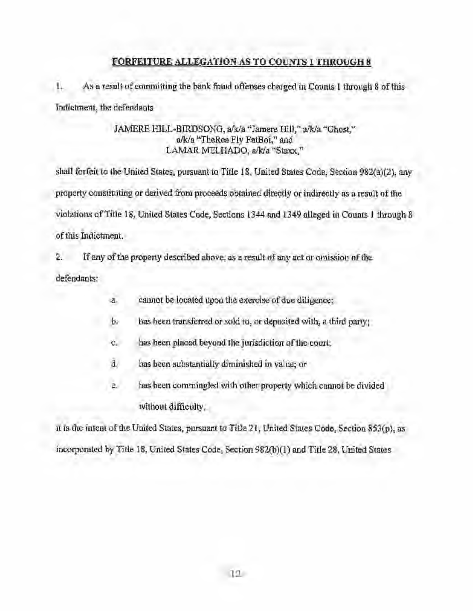# **FORFEITURE ALLEGATION AS TO COUNTS** 1 **THROUGH 8**

1. As a result of committing the bank fraud offenses charged in Counts I through 8 of this Indictment, the defendants

## JAMERE HILL-BIRDSONG, a/k/a "Jamere **Hill,"** a/k/a "Ghost," a/k/a "TheRea Fly FatBoi," and LAMAR MELHADO, eJk/a "Staxx,"

shall forfeit to the United States, pursuant 10 Title 18, United States Code, Section 982(a)(2), any property constituting or derived from proceeds obtained directly or indirectly as a result of the violations of Title 18, United States Code, Sections 1344 and 1349 alleged in Counts I through 8 of this Indictment.

2. If any of the property described above, as a result of any act or omission of the defendants:

- a. cannot be located upon the exercise of due diligence;
- $b.$  has been transferred or sold to, or deposited with, a third party;
- c. has been placed beyond the jurisdiction of the court;
- d, has been substantially diminished in value; or
- e. has been commingled with other property which cannot be divided without difficulty,

it is the intent of the United States, pursuant to Title 21, United States Code, Section 853(p), as incorporated by Title 18, United States Code, Section 982(b)(l) and Title 28, United States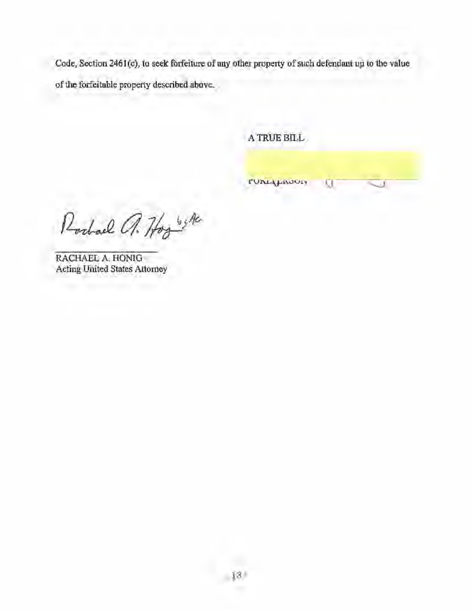Code, Section 2461(c), to seek forfeiture of any other property of such defendant up to the value of the forfei table property described above.

A TRUE BILL

**PUNIALIMOUS** 

ū

Rochael a. Hogy

RACHAEL A. HONIG Acting United States Attorney